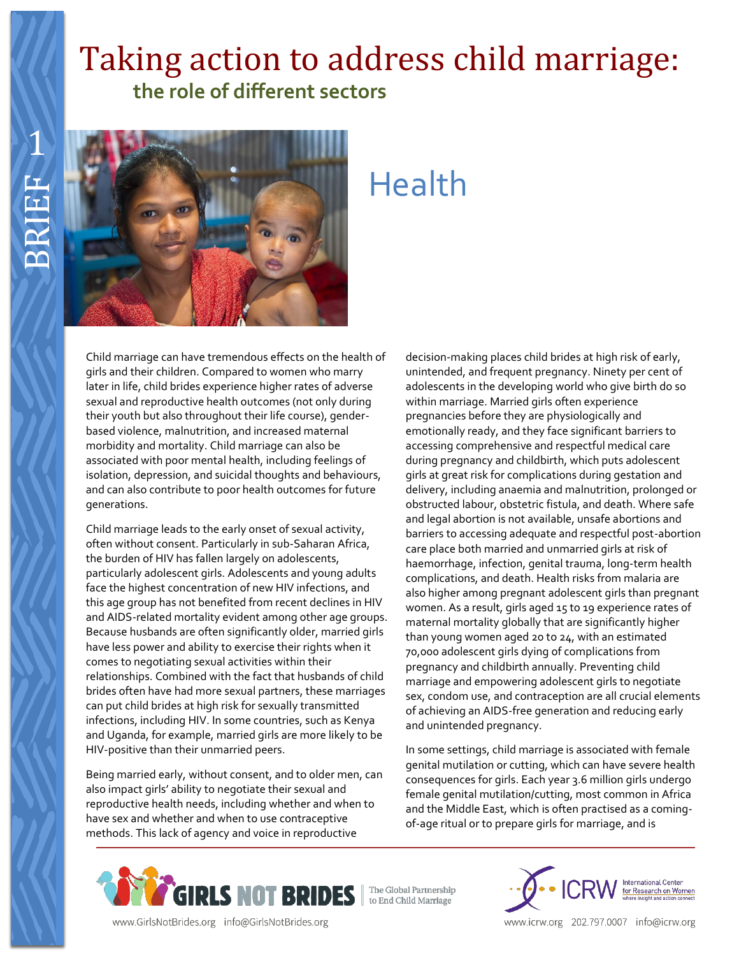# Taking action to address child marriage:  **the role of different sectors**



# Health

Child marriage can have tremendous effects on the health of girls and their children. Compared to women who marry later in life, child brides experience higher rates of adverse sexual and reproductive health outcomes (not only during their youth but also throughout their life course), genderbased violence, malnutrition, and increased maternal morbidity and mortality. Child marriage can also be associated with poor mental health, including feelings of isolation, depression, and suicidal thoughts and behaviours, and can also contribute to poor health outcomes for future generations.

Child marriage leads to the early onset of sexual activity, often without consent. Particularly in sub-Saharan Africa, the burden of HIV has fallen largely on adolescents, particularly adolescent girls. Adolescents and young adults face the highest concentration of new HIV infections, and this age group has not benefited from recent declines in HIV and AIDS-related mortality evident among other age groups. Because husbands are often significantly older, married girls have less power and ability to exercise their rights when it comes to negotiating sexual activities within their relationships. Combined with the fact that husbands of child brides often have had more sexual partners, these marriages can put child brides at high risk for sexually transmitted infections, including HIV. In some countries, such as Kenya and Uganda, for example, married girls are more likely to be HIV-positive than their unmarried peers.

Being married early, without consent, and to older men, can also impact girls' ability to negotiate their sexual and reproductive health needs, including whether and when to have sex and whether and when to use contraceptive methods. This lack of agency and voice in reproductive

decision-making places child brides at high risk of early, unintended, and frequent pregnancy. Ninety per cent of adolescents in the developing world who give birth do so within marriage. Married girls often experience pregnancies before they are physiologically and emotionally ready, and they face significant barriers to accessing comprehensive and respectful medical care during pregnancy and childbirth, which puts adolescent girls at great risk for complications during gestation and delivery, including anaemia and malnutrition, prolonged or obstructed labour, obstetric fistula, and death. Where safe and legal abortion is not available, unsafe abortions and barriers to accessing adequate and respectful post-abortion care place both married and unmarried girls at risk of haemorrhage, infection, genital trauma, long-term health complications, and death. Health risks from malaria are also higher among pregnant adolescent girls than pregnant women. As a result, girls aged 15 to 19 experience rates of maternal mortality globally that are significantly higher than young women aged 20 to 24, with an estimated 70,000 adolescent girls dying of complications from pregnancy and childbirth annually. Preventing child marriage and empowering adolescent girls to negotiate sex, condom use, and contraception are all crucial elements of achieving an AIDS-free generation and reducing early and unintended pregnancy.

In some settings, child marriage is associated with female genital mutilation or cutting, which can have severe health consequences for girls. Each year 3.6 million girls undergo female genital mutilation/cutting, most common in Africa and the Middle East, which is often practised as a comingof-age ritual or to prepare girls for marriage, and is





www.icrw.org 202.797.0007 info@icrw.org

www.GirlsNotBrides.org info@GirlsNotBrides.org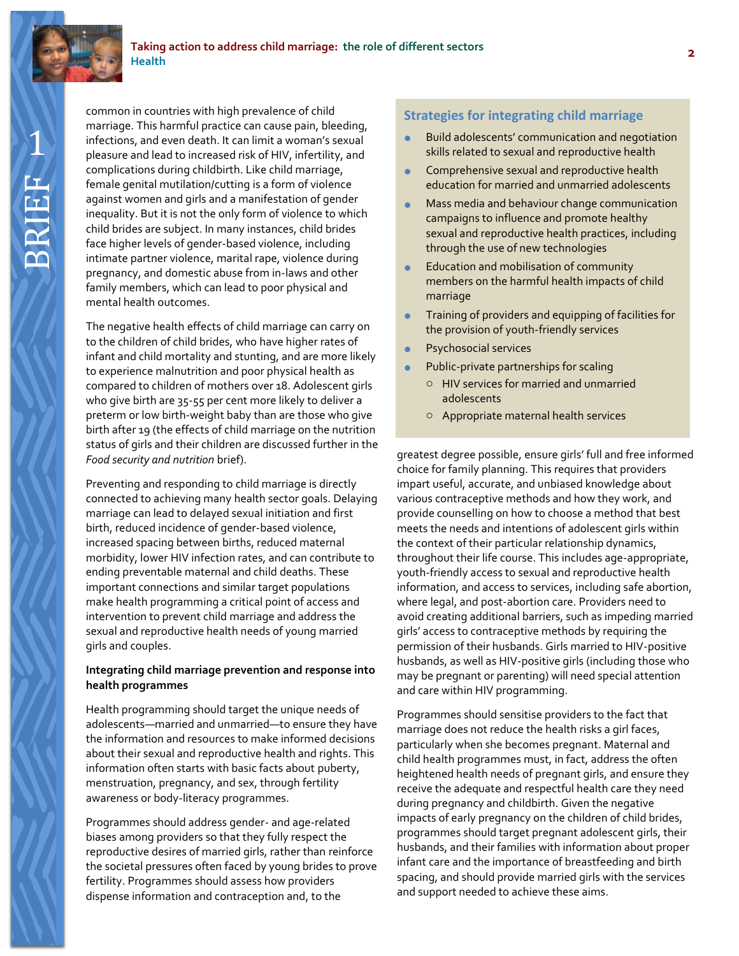

common in countries with high prevalence of child marriage. This harmful practice can cause pain, bleeding, infections, and even death. It can limit a woman's sexual pleasure and lead to increased risk of HIV, infertility, and complications during childbirth. Like child marriage, female genital mutilation/cutting is a form of violence against women and girls and a manifestation of gender inequality. But it is not the only form of violence to which

child brides are subject. In many instances, child brides face higher levels of gender-based violence, including intimate partner violence, marital rape, violence during pregnancy, and domestic abuse from in-laws and other family members, which can lead to poor physical and mental health outcomes. The negative health effects of child marriage can carry on to the children of child brides, who have higher rates of infant and child mortality and stunting, and are more likely

to experience malnutrition and poor physical health as compared to children of mothers over 18. Adolescent girls who give birth are 35-55 per cent more likely to deliver a preterm or low birth-weight baby than are those who give birth after 19 (the effects of child marriage on the nutrition status of girls and their children are discussed further in the *Food security and nutrition* brief).

Preventing and responding to child marriage is directly connected to achieving many health sector goals. Delaying marriage can lead to delayed sexual initiation and first birth, reduced incidence of gender-based violence, increased spacing between births, reduced maternal morbidity, lower HIV infection rates, and can contribute to ending preventable maternal and child deaths. These important connections and similar target populations make health programming a critical point of access and intervention to prevent child marriage and address the sexual and reproductive health needs of young married girls and couples.

#### **Integrating child marriage prevention and response into health programmes**

Health programming should target the unique needs of adolescents—married and unmarried—to ensure they have the information and resources to make informed decisions about their sexual and reproductive health and rights. This information often starts with basic facts about puberty, menstruation, pregnancy, and sex, through fertility awareness or body-literacy programmes.

Programmes should address gender- and age-related biases among providers so that they fully respect the reproductive desires of married girls, rather than reinforce the societal pressures often faced by young brides to prove fertility. Programmes should assess how providers dispense information and contraception and, to the

## **Strategies for integrating child marriage**

- Build adolescents' communication and negotiation skills related to sexual and reproductive health
- Comprehensive sexual and reproductive health education for married and unmarried adolescents
- Mass media and behaviour change communication campaigns to influence and promote healthy sexual and reproductive health practices, including through the use of new technologies
- Education and mobilisation of community members on the harmful health impacts of child marriage
- Training of providers and equipping of facilities for the provision of youth-friendly services
- Psychosocial services
- Public-private partnerships for scaling
	- o HIV services for married and unmarried adolescents
	- o Appropriate maternal health services

greatest degree possible, ensure girls' full and free informed choice for family planning. This requires that providers impart useful, accurate, and unbiased knowledge about various contraceptive methods and how they work, and provide counselling on how to choose a method that best meets the needs and intentions of adolescent girls within the context of their particular relationship dynamics, throughout their life course. This includes age-appropriate, youth-friendly access to sexual and reproductive health information, and access to services, including safe abortion, where legal, and post-abortion care. Providers need to avoid creating additional barriers, such as impeding married girls' access to contraceptive methods by requiring the permission of their husbands. Girls married to HIV-positive husbands, as well as HIV-positive girls (including those who may be pregnant or parenting) will need special attention and care within HIV programming.

Programmes should sensitise providers to the fact that marriage does not reduce the health risks a girl faces, particularly when she becomes pregnant. Maternal and child health programmes must, in fact, address the often heightened health needs of pregnant girls, and ensure they receive the adequate and respectful health care they need during pregnancy and childbirth. Given the negative impacts of early pregnancy on the children of child brides, programmes should target pregnant adolescent girls, their husbands, and their families with information about proper infant care and the importance of breastfeeding and birth spacing, and should provide married girls with the services and support needed to achieve these aims.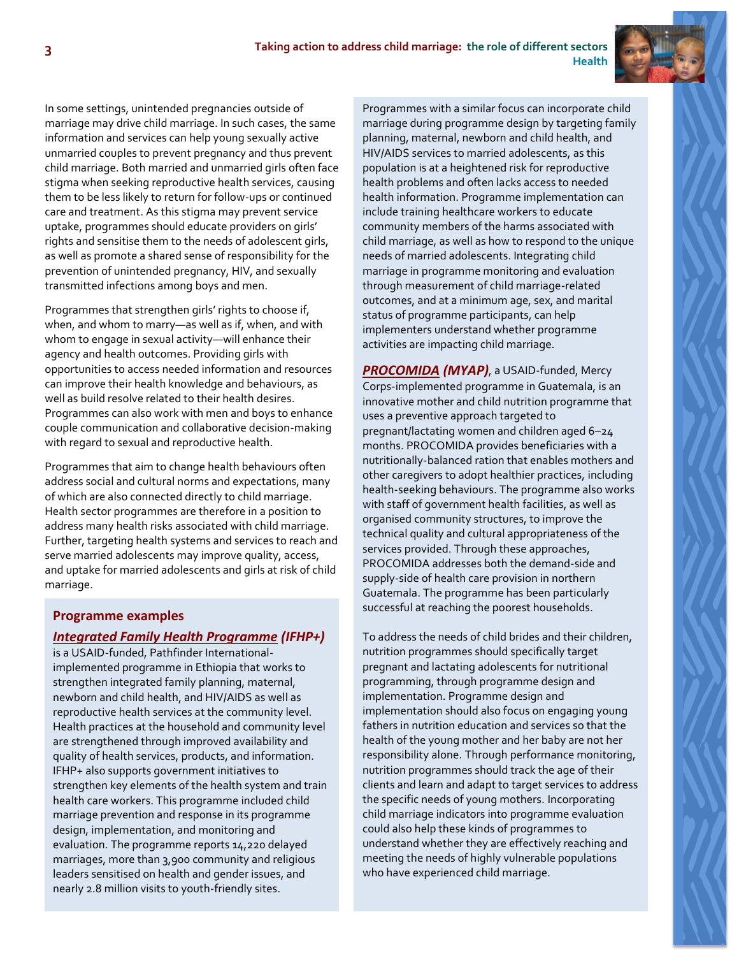

In some settings, unintended pregnancies outside of marriage may drive child marriage. In such cases, the same information and services can help young sexually active unmarried couples to prevent pregnancy and thus prevent child marriage. Both married and unmarried girls often face stigma when seeking reproductive health services, causing them to be less likely to return for follow-ups or continued care and treatment. As this stigma may prevent service uptake, programmes should educate providers on girls' rights and sensitise them to the needs of adolescent girls, as well as promote a shared sense of responsibility for the prevention of unintended pregnancy, HIV, and sexually transmitted infections among boys and men.

Programmes that strengthen girls' rights to choose if, when, and whom to marry—as well as if, when, and with whom to engage in sexual activity—will enhance their agency and health outcomes. Providing girls with opportunities to access needed information and resources can improve their health knowledge and behaviours, as well as build resolve related to their health desires. Programmes can also work with men and boys to enhance couple communication and collaborative decision-making with regard to sexual and reproductive health.

Programmes that aim to change health behaviours often address social and cultural norms and expectations, many of which are also connected directly to child marriage. Health sector programmes are therefore in a position to address many health risks associated with child marriage. Further, targeting health systems and services to reach and serve married adolescents may improve quality, access, and uptake for married adolescents and girls at risk of child marriage.

#### **Programme examples**

#### *[Integrated Family Health Programme](http://www2.pathfinder.org/site/DocServer/IFHP_2013_Annual_Report.pdf?docID=20161) (IFHP+)*

is a USAID-funded, Pathfinder Internationalimplemented programme in Ethiopia that works to strengthen integrated family planning, maternal, newborn and child health, and HIV/AIDS as well as reproductive health services at the community level. Health practices at the household and community level are strengthened through improved availability and quality of health services, products, and information. IFHP+ also supports government initiatives to strengthen key elements of the health system and train health care workers. This programme included child marriage prevention and response in its programme design, implementation, and monitoring and evaluation. The programme reports 14,220 delayed marriages, more than 3,900 community and religious leaders sensitised on health and gender issues, and nearly 2.8 million visits to youth-friendly sites.

Programmes with a similar focus can incorporate child marriage during programme design by targeting family planning, maternal, newborn and child health, and HIV/AIDS services to married adolescents, as this population is at a heightened risk for reproductive health problems and often lacks access to needed health information. Programme implementation can include training healthcare workers to educate community members of the harms associated with child marriage, as well as how to respond to the unique needs of married adolescents. Integrating child marriage in programme monitoring and evaluation through measurement of child marriage-related outcomes, and at a minimum age, sex, and marital status of programme participants, can help implementers understand whether programme activities are impacting child marriage.

*[PROCOMIDA](http://www.mercycorps.org/articles/guatemala/fresher-food-better-nutrition-happier-families) (MYAP)*, a USAID-funded, Mercy Corps-implemented programme in Guatemala, is an innovative mother and child nutrition programme that uses a preventive approach targeted to pregnant/lactating women and children aged 6–24 months. PROCOMIDA provides beneficiaries with a nutritionally-balanced ration that enables mothers and other caregivers to adopt healthier practices, including health-seeking behaviours. The programme also works with staff of government health facilities, as well as organised community structures, to improve the technical quality and cultural appropriateness of the services provided. Through these approaches, PROCOMIDA addresses both the demand-side and supply-side of health care provision in northern Guatemala. The programme has been particularly successful at reaching the poorest households.

To address the needs of child brides and their children, nutrition programmes should specifically target pregnant and lactating adolescents for nutritional programming, through programme design and implementation. Programme design and implementation should also focus on engaging young fathers in nutrition education and services so that the health of the young mother and her baby are not her responsibility alone. Through performance monitoring, nutrition programmes should track the age of their clients and learn and adapt to target services to address the specific needs of young mothers. Incorporating child marriage indicators into programme evaluation could also help these kinds of programmes to understand whether they are effectively reaching and meeting the needs of highly vulnerable populations who have experienced child marriage.